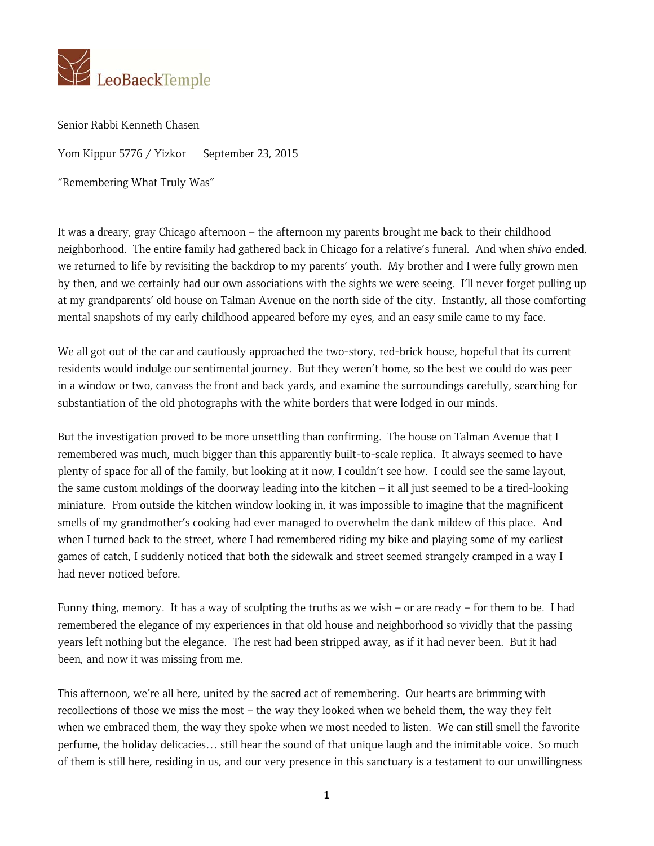

Senior Rabbi Kenneth Chasen

Yom Kippur 5776 / Yizkor September 23, 2015

"Remembering What Truly Was"

It was a dreary, gray Chicago afternoon – the afternoon my parents brought me back to their childhood neighborhood. The entire family had gathered back in Chicago for a relative's funeral. And when *shiva* ended, we returned to life by revisiting the backdrop to my parents' youth. My brother and I were fully grown men by then, and we certainly had our own associations with the sights we were seeing. I'll never forget pulling up at my grandparents' old house on Talman Avenue on the north side of the city. Instantly, all those comforting mental snapshots of my early childhood appeared before my eyes, and an easy smile came to my face.

We all got out of the car and cautiously approached the two-story, red-brick house, hopeful that its current residents would indulge our sentimental journey. But they weren't home, so the best we could do was peer in a window or two, canvass the front and back yards, and examine the surroundings carefully, searching for substantiation of the old photographs with the white borders that were lodged in our minds.

But the investigation proved to be more unsettling than confirming. The house on Talman Avenue that I remembered was much, much bigger than this apparently built-to-scale replica. It always seemed to have plenty of space for all of the family, but looking at it now, I couldn't see how. I could see the same layout, the same custom moldings of the doorway leading into the kitchen – it all just seemed to be a tired-looking miniature. From outside the kitchen window looking in, it was impossible to imagine that the magnificent smells of my grandmother's cooking had ever managed to overwhelm the dank mildew of this place. And when I turned back to the street, where I had remembered riding my bike and playing some of my earliest games of catch, I suddenly noticed that both the sidewalk and street seemed strangely cramped in a way I had never noticed before.

Funny thing, memory. It has a way of sculpting the truths as we wish – or are ready – for them to be. I had remembered the elegance of my experiences in that old house and neighborhood so vividly that the passing years left nothing but the elegance. The rest had been stripped away, as if it had never been. But it had been, and now it was missing from me.

This afternoon, we're all here, united by the sacred act of remembering. Our hearts are brimming with recollections of those we miss the most – the way they looked when we beheld them, the way they felt when we embraced them, the way they spoke when we most needed to listen. We can still smell the favorite perfume, the holiday delicacies… still hear the sound of that unique laugh and the inimitable voice. So much of them is still here, residing in us, and our very presence in this sanctuary is a testament to our unwillingness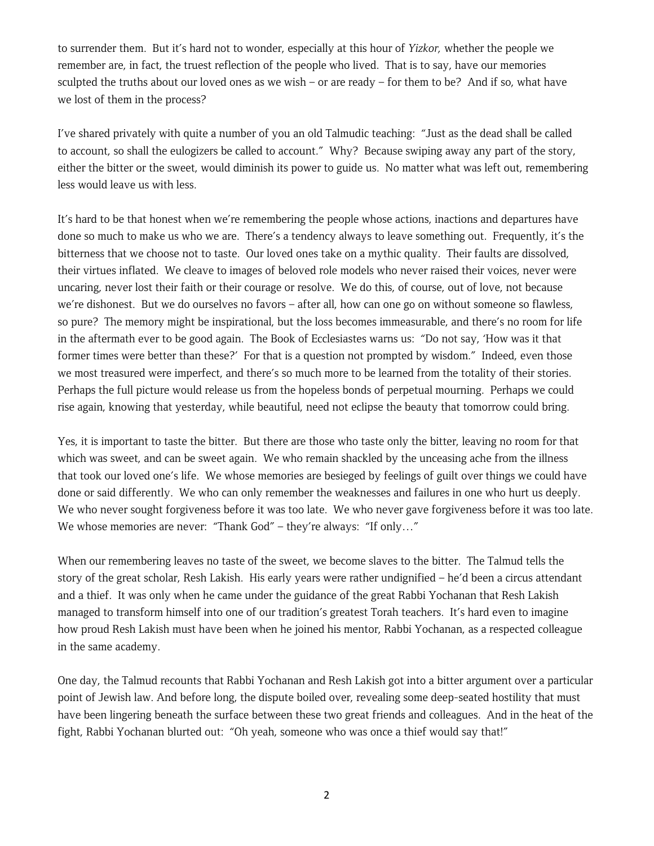to surrender them. But it's hard not to wonder, especially at this hour of *Yizkor,* whether the people we remember are, in fact, the truest reflection of the people who lived. That is to say, have our memories sculpted the truths about our loved ones as we wish – or are ready – for them to be? And if so, what have we lost of them in the process?

I've shared privately with quite a number of you an old Talmudic teaching: "Just as the dead shall be called to account, so shall the eulogizers be called to account." Why? Because swiping away any part of the story, either the bitter or the sweet, would diminish its power to guide us. No matter what was left out, remembering less would leave us with less.

It's hard to be that honest when we're remembering the people whose actions, inactions and departures have done so much to make us who we are. There's a tendency always to leave something out. Frequently, it's the bitterness that we choose not to taste. Our loved ones take on a mythic quality. Their faults are dissolved, their virtues inflated. We cleave to images of beloved role models who never raised their voices, never were uncaring, never lost their faith or their courage or resolve. We do this, of course, out of love, not because we're dishonest. But we do ourselves no favors – after all, how can one go on without someone so flawless, so pure? The memory might be inspirational, but the loss becomes immeasurable, and there's no room for life in the aftermath ever to be good again. The Book of Ecclesiastes warns us: "Do not say, 'How was it that former times were better than these?' For that is a question not prompted by wisdom." Indeed, even those we most treasured were imperfect, and there's so much more to be learned from the totality of their stories. Perhaps the full picture would release us from the hopeless bonds of perpetual mourning. Perhaps we could rise again, knowing that yesterday, while beautiful, need not eclipse the beauty that tomorrow could bring.

Yes, it is important to taste the bitter. But there are those who taste only the bitter, leaving no room for that which was sweet, and can be sweet again. We who remain shackled by the unceasing ache from the illness that took our loved one's life. We whose memories are besieged by feelings of guilt over things we could have done or said differently. We who can only remember the weaknesses and failures in one who hurt us deeply. We who never sought forgiveness before it was too late. We who never gave forgiveness before it was too late. We whose memories are never: "Thank God" – they're always: "If only..."

When our remembering leaves no taste of the sweet, we become slaves to the bitter. The Talmud tells the story of the great scholar, Resh Lakish. His early years were rather undignified – he'd been a circus attendant and a thief. It was only when he came under the guidance of the great Rabbi Yochanan that Resh Lakish managed to transform himself into one of our tradition's greatest Torah teachers. It's hard even to imagine how proud Resh Lakish must have been when he joined his mentor, Rabbi Yochanan, as a respected colleague in the same academy.

One day, the Talmud recounts that Rabbi Yochanan and Resh Lakish got into a bitter argument over a particular point of Jewish law. And before long, the dispute boiled over, revealing some deep-seated hostility that must have been lingering beneath the surface between these two great friends and colleagues. And in the heat of the fight, Rabbi Yochanan blurted out: "Oh yeah, someone who was once a thief would say that!"